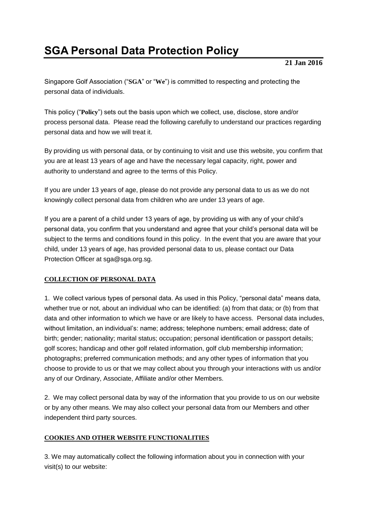# **SGA Personal Data Protection Policy**

## **21 Jan 2016**

Singapore Golf Association ("**SGA**" or "**We**") is committed to respecting and protecting the personal data of individuals.

This policy ("**Policy**") sets out the basis upon which we collect, use, disclose, store and/or process personal data. Please read the following carefully to understand our practices regarding personal data and how we will treat it.

By providing us with personal data, or by continuing to visit and use this website, you confirm that you are at least 13 years of age and have the necessary legal capacity, right, power and authority to understand and agree to the terms of this Policy.

If you are under 13 years of age, please do not provide any personal data to us as we do not knowingly collect personal data from children who are under 13 years of age.

If you are a parent of a child under 13 years of age, by providing us with any of your child's personal data, you confirm that you understand and agree that your child's personal data will be subject to the terms and conditions found in this policy. In the event that you are aware that your child, under 13 years of age, has provided personal data to us, please contact our Data Protection Officer at sga@sga.org.sg.

# **COLLECTION OF PERSONAL DATA**

1. We collect various types of personal data. As used in this Policy, "personal data" means data, whether true or not, about an individual who can be identified: (a) from that data; or (b) from that data and other information to which we have or are likely to have access. Personal data includes, without limitation, an individual's: name; address; telephone numbers; email address; date of birth; gender; nationality; marital status; occupation; personal identification or passport details; golf scores; handicap and other golf related information, golf club membership information; photographs; preferred communication methods; and any other types of information that you choose to provide to us or that we may collect about you through your interactions with us and/or any of our Ordinary, Associate, Affiliate and/or other Members.

2. We may collect personal data by way of the information that you provide to us on our website or by any other means. We may also collect your personal data from our Members and other independent third party sources.

## **COOKIES AND OTHER WEBSITE FUNCTIONALITIES**

3. We may automatically collect the following information about you in connection with your visit(s) to our website: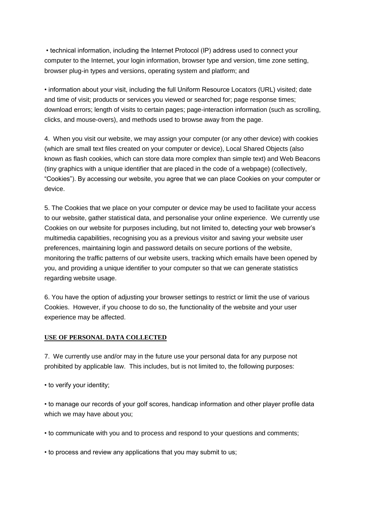• technical information, including the Internet Protocol (IP) address used to connect your computer to the Internet, your login information, browser type and version, time zone setting, browser plug-in types and versions, operating system and platform; and

• information about your visit, including the full Uniform Resource Locators (URL) visited; date and time of visit; products or services you viewed or searched for; page response times; download errors; length of visits to certain pages; page-interaction information (such as scrolling, clicks, and mouse-overs), and methods used to browse away from the page.

4. When you visit our website, we may assign your computer (or any other device) with cookies (which are small text files created on your computer or device), Local Shared Objects (also known as flash cookies, which can store data more complex than simple text) and Web Beacons (tiny graphics with a unique identifier that are placed in the code of a webpage) (collectively, "Cookies"). By accessing our website, you agree that we can place Cookies on your computer or device.

5. The Cookies that we place on your computer or device may be used to facilitate your access to our website, gather statistical data, and personalise your online experience. We currently use Cookies on our website for purposes including, but not limited to, detecting your web browser's multimedia capabilities, recognising you as a previous visitor and saving your website user preferences, maintaining login and password details on secure portions of the website, monitoring the traffic patterns of our website users, tracking which emails have been opened by you, and providing a unique identifier to your computer so that we can generate statistics regarding website usage.

6. You have the option of adjusting your browser settings to restrict or limit the use of various Cookies. However, if you choose to do so, the functionality of the website and your user experience may be affected.

#### **USE OF PERSONAL DATA COLLECTED**

7. We currently use and/or may in the future use your personal data for any purpose not prohibited by applicable law. This includes, but is not limited to, the following purposes:

• to verify your identity;

• to manage our records of your golf scores, handicap information and other player profile data which we may have about you;

• to communicate with you and to process and respond to your questions and comments;

• to process and review any applications that you may submit to us;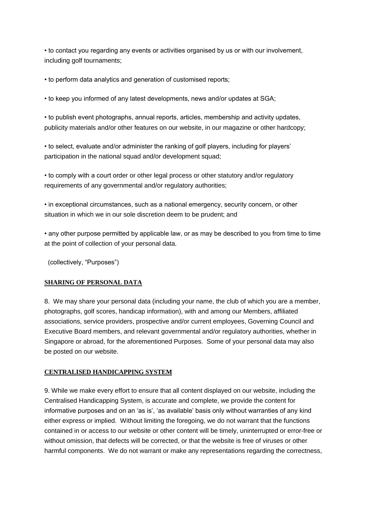• to contact you regarding any events or activities organised by us or with our involvement, including golf tournaments;

• to perform data analytics and generation of customised reports;

• to keep you informed of any latest developments, news and/or updates at SGA;

• to publish event photographs, annual reports, articles, membership and activity updates, publicity materials and/or other features on our website, in our magazine or other hardcopy;

• to select, evaluate and/or administer the ranking of golf players, including for players' participation in the national squad and/or development squad;

• to comply with a court order or other legal process or other statutory and/or regulatory requirements of any governmental and/or regulatory authorities;

• in exceptional circumstances, such as a national emergency, security concern, or other situation in which we in our sole discretion deem to be prudent; and

• any other purpose permitted by applicable law, or as may be described to you from time to time at the point of collection of your personal data.

(collectively, "Purposes")

## **SHARING OF PERSONAL DATA**

8. We may share your personal data (including your name, the club of which you are a member, photographs, golf scores, handicap information), with and among our Members, affiliated associations, service providers, prospective and/or current employees, Governing Council and Executive Board members, and relevant governmental and/or regulatory authorities, whether in Singapore or abroad, for the aforementioned Purposes. Some of your personal data may also be posted on our website.

#### **CENTRALISED HANDICAPPING SYSTEM**

9. While we make every effort to ensure that all content displayed on our website, including the Centralised Handicapping System, is accurate and complete, we provide the content for informative purposes and on an 'as is', 'as available' basis only without warranties of any kind either express or implied. Without limiting the foregoing, we do not warrant that the functions contained in or access to our website or other content will be timely, uninterrupted or error-free or without omission, that defects will be corrected, or that the website is free of viruses or other harmful components. We do not warrant or make any representations regarding the correctness,